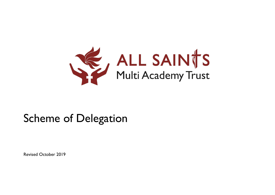

# Scheme of Delegation

Revised October 2019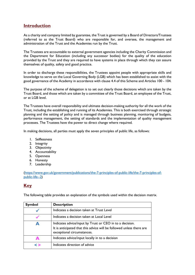## **Introduction**

As a charity and company limited by guarantee, the Trust is governed by a Board of Directors/Trustees (referred to as the Trust Board) who are responsible for, and oversee, the management and administration of the Trust and the Academies run by the Trust.

The Trustees are accountable to external government agencies including the Charity Commission and the Department for Education (including any successor bodies) for the quality of the education provided by the Trust and they are required to have systems in place through which they can assure themselves of quality, safety and good practice.

In order to discharge these responsibilities, the Trustees appoint people with appropriate skills and knowledge to serve on the Local Governing Body (LGB) which has been established to assist with the good governance of the Academy in accordance with clause 4.4 of this Scheme and Articles 100 - 104.

The purpose of the scheme of delegation is to set out clearly those decisions which are taken by the Trust Board, and those which are taken by a committee of the Trust Board, an employee of the Trust, or at LGB level.

The Trustees have overall responsibility and ultimate decision-making authority for all the work of the Trust, including the establishing and running of its Academies. This is both exercised through strategic planning and the setting of policy and is managed through business planning, monitoring of budgets, performance management, the setting of standards and the implementation of quality management processes. The Trustees have the power to direct change where required.

In making decisions, all parties must apply the seven principles of public life, as follows:

- 1. Selflessness
- 2. Integrity
- 3. Objectivity
- 4. Accountability
- 5. Openness
- 6. Honesty
- 7. Leadership

[\(https://www.gov.uk/government/publications/the-7-principles-of-public-life/the-7-principles-of](https://www.gov.uk/government/publications/the-7-principles-of-public-life/the-7-principles-of-public-life--2)[public-life--2\)](https://www.gov.uk/government/publications/the-7-principles-of-public-life/the-7-principles-of-public-life--2)

## **Key**

The following table provides an explanation of the symbols used within the decision matrix.

| <b>Symbol</b> | <b>Description</b>                                                                                                                                             |
|---------------|----------------------------------------------------------------------------------------------------------------------------------------------------------------|
|               | Indicates a decision taken at Trust Level                                                                                                                      |
|               | Indicates a decision taken at Local Level                                                                                                                      |
| Д             | Indicates advice/input by Trust or CEO in to a decision.<br>It is anticipated that this advice will be followed unless there are<br>exceptional circumstances. |
|               | Indicates advice/input locally in to a decision                                                                                                                |
| < >           | Indicates direction of advice                                                                                                                                  |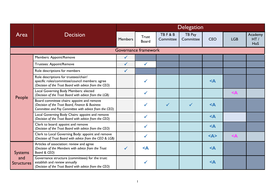|                                            |                                                                                                                                                         | <b>Delegation</b> |                              |                               |                     |                         |                     |                       |  |
|--------------------------------------------|---------------------------------------------------------------------------------------------------------------------------------------------------------|-------------------|------------------------------|-------------------------------|---------------------|-------------------------|---------------------|-----------------------|--|
| Area                                       | <b>Decision</b>                                                                                                                                         | Members           | <b>Trust</b><br><b>Board</b> | <b>TBF&amp;B</b><br>Committee | TB Pay<br>Committee | <b>CEO</b>              | <b>LGB</b>          | Academy<br>HT/<br>HoS |  |
|                                            |                                                                                                                                                         |                   | Governance framework         |                               |                     |                         |                     |                       |  |
| People                                     | <b>Members: Appoint/Remove</b>                                                                                                                          | $\checkmark$      |                              |                               |                     |                         |                     |                       |  |
|                                            | <b>Trustees: Appoint/Remove</b>                                                                                                                         | $\checkmark$      | $\checkmark$                 |                               |                     |                         |                     |                       |  |
|                                            | Role descriptions for members                                                                                                                           | $\checkmark$      |                              |                               |                     |                         |                     |                       |  |
|                                            | Role descriptions for trustees/chair/<br>specific roles/committee/council members: agree<br>(Decision of the Trust Board with advice from the CEO)      |                   | $\checkmark$                 |                               |                     | $<$ $\triangle$         |                     |                       |  |
|                                            | Local Governing Body Members: elected<br>(Decision of the Trust Board with advice from the LGB)                                                         |                   | $\checkmark$                 |                               |                     |                         | $\leq$ $\mathsf{A}$ |                       |  |
|                                            | Board committee chairs: appoint and remove<br>(Decision of the Trust Board, Finance & Business<br>Committee and Pay Committee with advice from the CEO) |                   | ✔                            | $\checkmark$                  | $\checkmark$        | $<$ $\triangle$         |                     |                       |  |
|                                            | Local Governing Body Chairs: appoint and remove<br>(Decision of the Trust Board with advice from the CEO)                                               |                   | $\checkmark$                 |                               |                     | $<$ $\triangle$         |                     |                       |  |
|                                            | Clerk to board: appoint and remove<br>(Decision of the Trust Board with advice from the CEO)                                                            |                   | $\checkmark$                 |                               |                     | $<$ $\triangle$         |                     |                       |  |
|                                            | Clerk to Local Governing Body: appoint and remove<br>(Decision of Trust Board with advice from the CEO & LGB)                                           |                   | $\checkmark$                 |                               |                     | $<\mathsf{A}\mathsf{>}$ | $<$ $\triangle$     |                       |  |
| <b>Systems</b><br>and<br><b>Structures</b> | Articles of association: review and agree<br>(Decision of the Members with advice from the Trust<br>Board & CEO)                                        | $\checkmark$      | $\leq$ $\triangle$           |                               |                     | $<$ $\triangle$         |                     |                       |  |
|                                            | Governance structure (committees) for the trust:<br>establish and review annually<br>(Decision of the Trust Board with advice from the CEO)             |                   | ✔                            |                               |                     | $\leq$ A                |                     |                       |  |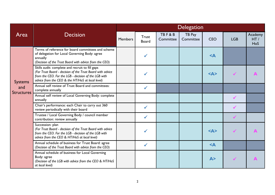|                          |                                                                                                                                                                                                                           | <b>Delegation</b> |                       |                               |                     |                         |              |                       |  |
|--------------------------|---------------------------------------------------------------------------------------------------------------------------------------------------------------------------------------------------------------------------|-------------------|-----------------------|-------------------------------|---------------------|-------------------------|--------------|-----------------------|--|
| Area                     | <b>Decision</b>                                                                                                                                                                                                           | <b>Members</b>    | <b>Trust</b><br>Board | <b>TBF&amp;B</b><br>Committee | TB Pay<br>Committee | <b>CEO</b>              | <b>LGB</b>   | Academy<br>HT/<br>HoS |  |
|                          | Terms of reference for board committees and scheme<br>of delegation for Local Governing Body: agree<br>annually<br>(Decision of the Trust Board with advice from the CEO)                                                 |                   | $\checkmark$          |                               |                     | $\leq$ A                |              |                       |  |
| <b>Systems</b>           | Skills audit: complete and recruit to fill gaps<br>(For Trust Board - decision of the Trust Board with advice<br>from the CEO. For the LGB - decision of the LGB with<br>advice from the CEO & the HT/HoS at local level) |                   |                       |                               |                     | $<\mathsf{A}\mathsf{>}$ | $\checkmark$ | $\blacktriangle$      |  |
| and<br><b>Structures</b> | Annual self review of Trust Board and committees:<br>complete annually                                                                                                                                                    |                   | $\checkmark$          |                               |                     |                         |              |                       |  |
|                          | Annual self review of Local Governing Body: complete<br>annually                                                                                                                                                          |                   |                       |                               |                     |                         | $\checkmark$ |                       |  |
|                          | Chair's performance: each Chair to carry out 360<br>review periodically with their board                                                                                                                                  |                   | $\checkmark$          |                               |                     |                         |              |                       |  |
|                          | Trustee / Local Governing Body / council member<br>contribution: review annually                                                                                                                                          |                   | $\checkmark$          |                               |                     |                         | $\checkmark$ |                       |  |
|                          | Succession: plan<br>(For Trust Board - decision of the Trust Board with advice<br>from the CEO. For the LGB - decision of the LGB with<br>advice from the CEO & HT/HoS at local level)                                    |                   |                       |                               |                     | $<\mathsf{A}\mathsf{>}$ | $\checkmark$ | $\mathbf{A}$          |  |
|                          | Annual schedule of business for Trust Board: agree<br>(Decision of the Trust Board with advice from the CEO)                                                                                                              |                   | $\checkmark$          |                               |                     | $\leq$ A                |              |                       |  |
|                          | Annual schedule of business for Local Governing<br>Body: agree<br>(Decision of the LGB with advice from the CEO & HT/HoS<br>at local level)                                                                               |                   |                       |                               |                     | A >                     | $\sqrt{}$    | $\mathbf{A}$          |  |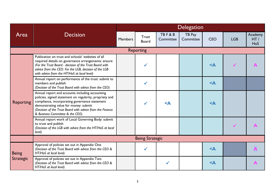|                  |                                                                                                                                                                                                                                                                                                       |                |                              |                               | <b>Delegation</b>   |                    |              |                       |
|------------------|-------------------------------------------------------------------------------------------------------------------------------------------------------------------------------------------------------------------------------------------------------------------------------------------------------|----------------|------------------------------|-------------------------------|---------------------|--------------------|--------------|-----------------------|
| Area             | <b>Decision</b>                                                                                                                                                                                                                                                                                       | <b>Members</b> | <b>Trust</b><br><b>Board</b> | <b>TBF&amp;B</b><br>Committee | TB Pay<br>Committee | <b>CEO</b>         | <b>LGB</b>   | Academy<br>HT/<br>HoS |
|                  |                                                                                                                                                                                                                                                                                                       |                | <b>Reporting</b>             |                               |                     |                    |              |                       |
|                  | Publication on trust and schools' websites of all<br>required details on governance arrangements: ensure<br>(For the Trust Board - decision of the Trust Board with<br>advice from the CEO. For the LGB, decision of the LGB<br>with advice from the HT/HoS at local level)                           |                |                              |                               |                     | $\leq$ $\triangle$ |              |                       |
|                  | Annual report on performance of the trust: submit to<br>members and publish<br>(Decision of the Trust Board with advice from the CEO)                                                                                                                                                                 |                | $\checkmark$                 |                               |                     | $\leq$ A           |              |                       |
| <b>Reporting</b> | Annual report and accounts including accounting<br>policies, signed statement on regularity, propriety and<br>compliance, incorporating governance statement<br>demonstrating value for money: submit<br>(Decision of the Trust Board with advice from the Finance<br>& Business Committee & the CEO) |                | $\checkmark$                 | $\leq$ $\triangle$            |                     | $\leq$ A           |              |                       |
|                  | Annual report work of Local Governing Body: submit<br>to trust and publish<br>(Decision of the LGB with advice from the HT/HoS at local<br>level)                                                                                                                                                     |                |                              |                               |                     |                    | $\checkmark$ |                       |
|                  |                                                                                                                                                                                                                                                                                                       |                | <b>Being Strategic</b>       |                               |                     |                    |              |                       |
| <b>Being</b>     | Approval of policies set out in Appendix One<br>(Decision of the Trust Board with advice from the CEO &<br>HT/HoS at local level)                                                                                                                                                                     |                |                              |                               |                     | $\leq$ A           |              |                       |
| <b>Strategic</b> | Approval of policies set out in Appendix Two<br>(Decision of the Trust Board with advice from the CEO &<br>HT/HoS at local level)                                                                                                                                                                     |                |                              | ✔                             |                     | $\leq$ A           |              |                       |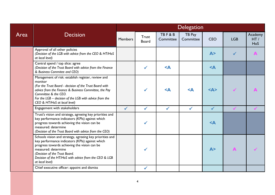|      |                                                                                                                                                                                                                                                                                                     | <b>Delegation</b> |                       |                               |                     |                 |              |                       |  |  |
|------|-----------------------------------------------------------------------------------------------------------------------------------------------------------------------------------------------------------------------------------------------------------------------------------------------------|-------------------|-----------------------|-------------------------------|---------------------|-----------------|--------------|-----------------------|--|--|
| Area | <b>Decision</b>                                                                                                                                                                                                                                                                                     | <b>Members</b>    | <b>Trust</b><br>Board | <b>TBF&amp;B</b><br>Committee | TB Pay<br>Committee | <b>CEO</b>      | <b>LGB</b>   | Academy<br>HT/<br>HoS |  |  |
|      | Approval of all other policies<br>(Decision of the LGB with advice from the CEO & HT/HoS<br>at local level)                                                                                                                                                                                         |                   |                       |                               |                     | A >             | $\checkmark$ | A                     |  |  |
|      | Central spend / top slice: agree<br>(Decision of the Trust Board with advice from the Finance<br>& Business Commitee and CEO)                                                                                                                                                                       |                   | $\checkmark$          | $\leq$ A                      |                     | $<$ $\triangle$ |              |                       |  |  |
|      | Management of risk: establish register, review and<br>monitor<br>(For the Trust Board - decision of the Trust Board with<br>advice from the Finance & Business Committee, the Pay<br>Committee & the CEO.<br>For the LGB - decision of the LGB with advice from the<br>CEO & HT/HoS at local level) |                   | $\checkmark$          | $\leq$ A                      | $\leq$ $\triangle$  | $<\Delta>$      | $\checkmark$ |                       |  |  |
|      | Engagement with stakeholders                                                                                                                                                                                                                                                                        | $\checkmark$      | $\checkmark$          | $\checkmark$                  | $\checkmark$        | $\checkmark$    |              |                       |  |  |
|      | Trust's vision and strategy, agreeing key priorities and<br>key performance indicators (KPIs) against which<br>progress towards achieving the vision can be<br>measured: determine<br>(Decision of the Trust Board with advice from the CEO)                                                        |                   | ✓                     |                               |                     | $<$ $\triangle$ |              |                       |  |  |
|      | Schools vision and strategy, agreeing key priorities and<br>key performance indicators (KPIs) against which<br>progress towards achieving the vision can be<br>measured: determine<br>(Decision of the Trust Board.<br>Decision of the HT/HoS with advice from the CEO & LGB<br>at local level)     |                   | $\checkmark$          |                               |                     | A >             | $\mathbf{A}$ |                       |  |  |
|      | Chief executive officer: appoint and dismiss                                                                                                                                                                                                                                                        |                   | $\checkmark$          |                               |                     |                 |              |                       |  |  |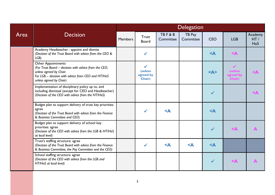|      |                                                                                                                                                                                                | <b>Delegation</b> |                                                        |                               |                     |                         |                                                              |                              |  |  |
|------|------------------------------------------------------------------------------------------------------------------------------------------------------------------------------------------------|-------------------|--------------------------------------------------------|-------------------------------|---------------------|-------------------------|--------------------------------------------------------------|------------------------------|--|--|
| Area | <b>Decision</b>                                                                                                                                                                                | <b>Members</b>    | Trust<br><b>Board</b>                                  | <b>TBF&amp;B</b><br>Committee | TB Pay<br>Committee | <b>CEO</b>              | <b>LGB</b>                                                   | Academy<br>HT/<br><b>HoS</b> |  |  |
|      | Academy Headteacher: appoint and dismiss<br>(Decision of the Trust Board with advice from the CEO &<br>LGB)                                                                                    |                   | $\checkmark$                                           |                               |                     | $<$ $\triangle$         | $\leq$ $\mathsf{A}$                                          |                              |  |  |
|      | <b>Other Appointments</b><br>(For Trust Board - decision with advice from the CEO,<br>unless agreed by Chair.<br>For LGB - decision with advice from CEO and HT/HoS<br>unless agreed by Chair) |                   | $\checkmark$<br><b>(unless)</b><br>agreed by<br>Chair) |                               |                     | $<\mathsf{A}\mathsf{>}$ | $\checkmark$<br>(unless<br>agreed b <mark>y</mark><br>Chair) | $\triangle$                  |  |  |
|      | Implementation of disciplinary policy up to, and<br>including dismissal (except for CEO and Headteacher)<br>(Decision of the CEO with advice from the HT/HoS)                                  |                   |                                                        |                               |                     | $\checkmark$            |                                                              | $<$ $\triangle$              |  |  |
|      | Budget plan to support delivery of trust key priorities:<br>agree<br>(Decision of the Trust Board with advice from the Finance<br>& Business Committee and CEO)                                |                   | $\checkmark$                                           | $\leq$ A                      |                     | $<$ $\triangle$         |                                                              |                              |  |  |
|      | Budget plan to support delivery of school key<br>priorities: agree<br>(Decision of the CEO with advice from the LGB & HT/HoS<br>at local level)                                                |                   |                                                        |                               |                     | $\checkmark$            | $\leq$ $\mathsf{A}$                                          |                              |  |  |
|      | Trust's staffing structure: agree<br>(Decision of the Trust Board with advice from the Finance<br>& Business Committee, the Pay Committee and the CEO)                                         |                   | $\checkmark$                                           | $\leq$ A                      | $\leq$ $\triangle$  | $\leq$ A                |                                                              |                              |  |  |
|      | School staffing structure: agree<br>(Decision of the CEO with advice from the LGB and<br>HT/HoS at local level)                                                                                |                   |                                                        |                               |                     | $\checkmark$            | $\leq$ $\mathsf{A}$                                          |                              |  |  |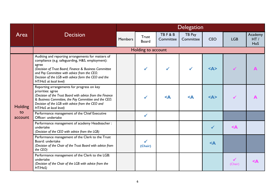|                |                                                                                                                                                                                                                                                                                                            | <b>Delegation</b> |                              |                               |                     |                 |                         |                       |  |
|----------------|------------------------------------------------------------------------------------------------------------------------------------------------------------------------------------------------------------------------------------------------------------------------------------------------------------|-------------------|------------------------------|-------------------------------|---------------------|-----------------|-------------------------|-----------------------|--|
| Area           | <b>Decision</b>                                                                                                                                                                                                                                                                                            | <b>Members</b>    | <b>Trust</b><br><b>Board</b> | <b>TBF&amp;B</b><br>Committee | TB Pay<br>Committee | <b>CEO</b>      | <b>LGB</b>              | Academy<br>HT/<br>HoS |  |
|                |                                                                                                                                                                                                                                                                                                            |                   | Holding to account           |                               |                     |                 |                         |                       |  |
| <b>Holding</b> | Auditing and reporting arrangements for matters of<br>compliance (e.g. safeguarding, H&S, employment):<br>agree<br>(Decision of Trust Board, Finance & Business Committee<br>and Pay Committee with advice from the CEO.<br>Decision of the LGB with advice form the CEO and the<br>HT/HoS at local level) |                   | $\checkmark$                 |                               |                     | $<\Delta>$      |                         |                       |  |
|                | Reporting arrangements for progress on key<br>priorities: agree<br>(Decision of the Trust Board with advice from the Finance<br>& Business Committee, the Pay Committee and the CEO.<br>Decision of the LGB with advice from the CEO and<br>HT/HoS at local level)                                         |                   |                              | $\leq$ A                      | $\leq$ $\triangle$  | $<\Delta>$      |                         |                       |  |
| to<br>account  | Performance management of the Chief Executive<br>Officer: undertake                                                                                                                                                                                                                                        |                   | $\checkmark$                 |                               |                     |                 |                         |                       |  |
|                | Performance management of academy Headteacher :<br>undertake<br>(Decision of the CEO with advice from the LGB)                                                                                                                                                                                             |                   |                              |                               |                     | $\checkmark$    | $\leq$ A                |                       |  |
|                | Performance management of the Clerk to the Trust<br>Board: undertake<br>(Decision of the Chair of the Trust Board with advice from<br>the CEO)                                                                                                                                                             |                   | $\checkmark$<br>(Chair)      |                               |                     | $<$ $\triangle$ |                         |                       |  |
|                | Performance management of the Clerk to the LGB:<br>undertake<br>(Decision of the Chair of the LGB with advice from the<br>HT/H <sub>0</sub> S)                                                                                                                                                             |                   |                              |                               |                     |                 | $\checkmark$<br>(Chair) |                       |  |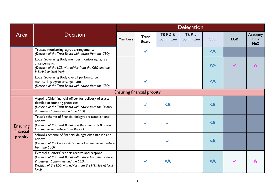|                      |                                                                                                                                                                                                                        | <b>Delegation</b> |                                   |                               |                     |                 |              |                       |  |  |
|----------------------|------------------------------------------------------------------------------------------------------------------------------------------------------------------------------------------------------------------------|-------------------|-----------------------------------|-------------------------------|---------------------|-----------------|--------------|-----------------------|--|--|
| Area                 | <b>Decision</b>                                                                                                                                                                                                        | <b>Members</b>    | <b>Trust</b><br><b>Board</b>      | <b>TBF&amp;B</b><br>Committee | TB Pay<br>Committee | <b>CEO</b>      | <b>LGB</b>   | Academy<br>HT/<br>HoS |  |  |
|                      | Trustee monitoring: agree arrangements<br>(Decision of the Trust Board with advice from the CEO)                                                                                                                       |                   | $\checkmark$                      |                               |                     | $<$ $\triangle$ |              |                       |  |  |
|                      | Local Governing Body member monitoring: agree<br>arrangements<br>(Decision of the LGB with advice from the CEO and the<br>HT/HoS at local level)                                                                       |                   |                                   |                               |                     | A >             | $\checkmark$ | $\blacktriangle$      |  |  |
|                      | Local Governing Body overall performance<br>monitoring: agree arrangements<br>(Decision of the Trust Board with advice from the CEO)                                                                                   |                   | ✔                                 |                               |                     | $<$ $\triangle$ |              |                       |  |  |
|                      |                                                                                                                                                                                                                        |                   | <b>Ensuring financial probity</b> |                               |                     |                 |              |                       |  |  |
|                      | Appoint Chief financial officer for delivery of trusts<br>detailed accounting processes<br>(Decision of the Trust Board with advice from the Finance<br>& Business Committee and the CEO)                              |                   | $\checkmark$                      | $\leq$ A                      |                     | $<$ $\triangle$ |              |                       |  |  |
| <b>Ensuring</b>      | Trust's scheme of financial delegation: establish and<br>review<br>(Decision of the Trust Board and the Finance & Business<br>Committee with advice from the CEO)                                                      |                   |                                   |                               |                     | $<$ $\triangle$ |              |                       |  |  |
| financial<br>probity | School's scheme of financial delegation: establish and<br>review<br>(Decision of the Finance & Business Committee with advice<br>from the CEO)                                                                         |                   |                                   |                               |                     | $<$ $\triangle$ |              |                       |  |  |
|                      | External auditors' report: receive and respond<br>(Decision of the Trust Board with advice from the Finance<br>& Business Committee and the CEO.<br>Decision of the LGB with advice from the HT/HoS at local<br>level) |                   | $\checkmark$                      | $\leq$ A                      |                     | $<$ $\triangle$ |              |                       |  |  |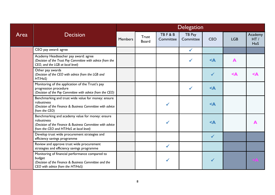|      | <b>Decision</b>                                                                                                                                                        | <b>Delegation</b> |                              |                               |                     |                 |            |                       |  |  |
|------|------------------------------------------------------------------------------------------------------------------------------------------------------------------------|-------------------|------------------------------|-------------------------------|---------------------|-----------------|------------|-----------------------|--|--|
| Area |                                                                                                                                                                        | <b>Members</b>    | <b>Trust</b><br><b>Board</b> | <b>TBF&amp;B</b><br>Committee | TB Pay<br>Committee | <b>CEO</b>      | <b>LGB</b> | Academy<br>HT/<br>HoS |  |  |
|      | CEO pay award: agree                                                                                                                                                   |                   |                              |                               | $\checkmark$        |                 |            |                       |  |  |
|      | Academy Headteacher pay award: agree<br>(Decision of the Trust Pay Committee with advice from the<br>CEO, and the LGB at local level)                                  |                   |                              |                               | $\checkmark$        | $<$ $\triangle$ | A          |                       |  |  |
|      | Other pay awards<br>(Decision of the CEO with advice from the LGB and<br>HT/HoS)                                                                                       |                   |                              |                               |                     | $\checkmark$    | $\leq$ A   | $\triangle$           |  |  |
|      | Monitoring of the application of the Trust's pay<br>progression procedure<br>(Decision of the Pay Committee with advice from the CEO)                                  |                   |                              |                               | $\checkmark$        | $<$ A           |            |                       |  |  |
|      | Benchmarking and trust wide value for money: ensure<br>robustness<br>(Decision of the Finance & Business Committee with advice<br>from the CEO)                        |                   |                              |                               |                     | $<$ $\triangle$ |            |                       |  |  |
|      | Benchmarking and academy value for money: ensure<br>robustness<br>(Decision of the Finance & Business Committee with advice<br>from the CEO and HT/HoS at local level) |                   |                              |                               |                     | $<$ $\triangle$ |            |                       |  |  |
|      | Develop trust wide procurement strategies and<br>efficiency savings programme                                                                                          |                   |                              |                               |                     | $\checkmark$    |            |                       |  |  |
|      | Review and approve trust wide procurement<br>strategies and efficiency savings programme                                                                               |                   |                              | $\checkmark$                  |                     |                 |            |                       |  |  |
|      | Monitoring of financial performance compared to<br>budget<br>(Decision of the Finance & Business Committee and the<br>CEO with advice from the HT/HoS)                 |                   |                              |                               |                     |                 |            | SP                    |  |  |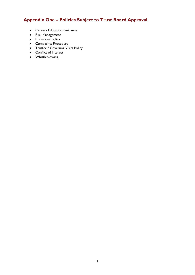# **Appendix One – Policies Subject to Trust Board Approval**

- **•** Careers Education Guidance
- Risk Management
- Exclusions Policy
- Complaints Procedure
- **•** Trustee / Governor Visits Policy
- Conflict of Interest
- Whistleblowing